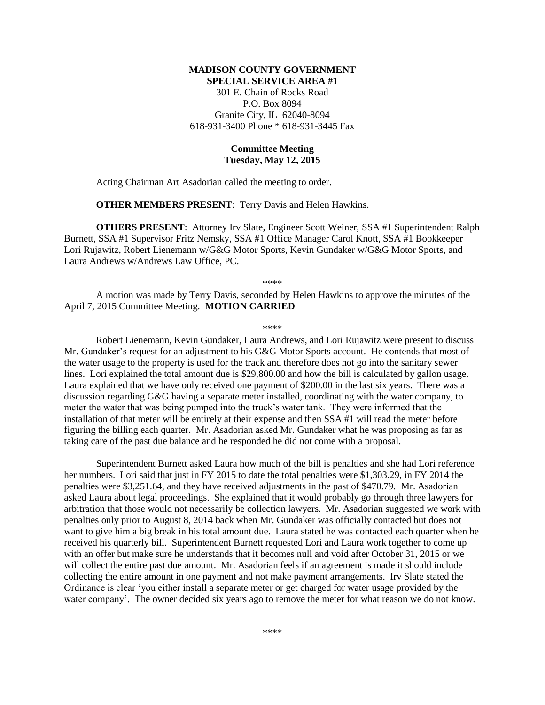#### **MADISON COUNTY GOVERNMENT SPECIAL SERVICE AREA #1**

301 E. Chain of Rocks Road P.O. Box 8094 Granite City, IL 62040-8094 618-931-3400 Phone \* 618-931-3445 Fax

### **Committee Meeting Tuesday, May 12, 2015**

Acting Chairman Art Asadorian called the meeting to order.

**OTHER MEMBERS PRESENT**: Terry Davis and Helen Hawkins.

**OTHERS PRESENT**: Attorney Irv Slate, Engineer Scott Weiner, SSA #1 Superintendent Ralph Burnett, SSA #1 Supervisor Fritz Nemsky, SSA #1 Office Manager Carol Knott, SSA #1 Bookkeeper Lori Rujawitz, Robert Lienemann w/G&G Motor Sports, Kevin Gundaker w/G&G Motor Sports, and Laura Andrews w/Andrews Law Office, PC.

\*\*\*\*

A motion was made by Terry Davis, seconded by Helen Hawkins to approve the minutes of the April 7, 2015 Committee Meeting. **MOTION CARRIED**

\*\*\*\*

Robert Lienemann, Kevin Gundaker, Laura Andrews, and Lori Rujawitz were present to discuss Mr. Gundaker's request for an adjustment to his G&G Motor Sports account. He contends that most of the water usage to the property is used for the track and therefore does not go into the sanitary sewer lines. Lori explained the total amount due is \$29,800.00 and how the bill is calculated by gallon usage. Laura explained that we have only received one payment of \$200.00 in the last six years. There was a discussion regarding G&G having a separate meter installed, coordinating with the water company, to meter the water that was being pumped into the truck's water tank. They were informed that the installation of that meter will be entirely at their expense and then SSA #1 will read the meter before figuring the billing each quarter. Mr. Asadorian asked Mr. Gundaker what he was proposing as far as taking care of the past due balance and he responded he did not come with a proposal.

Superintendent Burnett asked Laura how much of the bill is penalties and she had Lori reference her numbers. Lori said that just in FY 2015 to date the total penalties were \$1,303.29, in FY 2014 the penalties were \$3,251.64, and they have received adjustments in the past of \$470.79. Mr. Asadorian asked Laura about legal proceedings. She explained that it would probably go through three lawyers for arbitration that those would not necessarily be collection lawyers. Mr. Asadorian suggested we work with penalties only prior to August 8, 2014 back when Mr. Gundaker was officially contacted but does not want to give him a big break in his total amount due. Laura stated he was contacted each quarter when he received his quarterly bill. Superintendent Burnett requested Lori and Laura work together to come up with an offer but make sure he understands that it becomes null and void after October 31, 2015 or we will collect the entire past due amount. Mr. Asadorian feels if an agreement is made it should include collecting the entire amount in one payment and not make payment arrangements. Irv Slate stated the Ordinance is clear 'you either install a separate meter or get charged for water usage provided by the water company'. The owner decided six years ago to remove the meter for what reason we do not know.